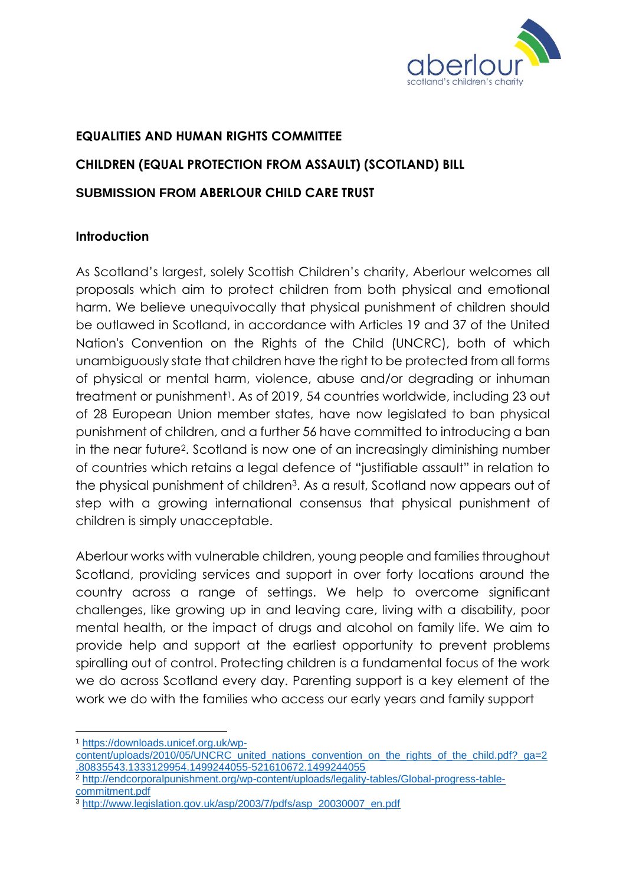

# **EQUALITIES AND HUMAN RIGHTS COMMITTEE CHILDREN (EQUAL PROTECTION FROM ASSAULT) (SCOTLAND) BILL SUBMISSION FROM ABERLOUR CHILD CARE TRUST**

# **Introduction**

As Scotland's largest, solely Scottish Children's charity, Aberlour welcomes all proposals which aim to protect children from both physical and emotional harm. We believe unequivocally that physical punishment of children should be outlawed in Scotland, in accordance with Articles 19 and 37 of the United Nation's Convention on the Rights of the Child (UNCRC), both of which unambiguously state that children have the right to be protected from all forms of physical or mental harm, violence, abuse and/or degrading or inhuman treatment or punishment<sup>1</sup>. As of 2019, 54 countries worldwide, including 23 out of 28 European Union member states, have now legislated to ban physical punishment of children, and a further 56 have committed to introducing a ban in the near future2. Scotland is now one of an increasingly diminishing number of countries which retains a legal defence of "justifiable assault" in relation to the physical punishment of children3. As a result, Scotland now appears out of step with a growing international consensus that physical punishment of children is simply unacceptable.

Aberlour works with vulnerable children, young people and families throughout Scotland, providing services and support in over forty locations around the country across a range of settings. We help to overcome significant challenges, like growing up in and leaving care, living with a disability, poor mental health, or the impact of drugs and alcohol on family life. We aim to provide help and support at the earliest opportunity to prevent problems spiralling out of control. Protecting children is a fundamental focus of the work we do across Scotland every day. Parenting support is a key element of the work we do with the families who access our early years and family support

1

<sup>2</sup> [http://endcorporalpunishment.org/wp-content/uploads/legality-tables/Global-progress-table](http://endcorporalpunishment.org/wp-content/uploads/legality-tables/Global-progress-table-commitment.pdf)[commitment.pdf](http://endcorporalpunishment.org/wp-content/uploads/legality-tables/Global-progress-table-commitment.pdf)

<sup>1</sup> [https://downloads.unicef.org.uk/wp-](https://downloads.unicef.org.uk/wp-content/uploads/2010/05/UNCRC_united_nations_convention_on_the_rights_of_the_child.pdf?_ga=2.80835543.1333129954.1499244055-521610672.1499244055)

[content/uploads/2010/05/UNCRC\\_united\\_nations\\_convention\\_on\\_the\\_rights\\_of\\_the\\_child.pdf?\\_ga=2](https://downloads.unicef.org.uk/wp-content/uploads/2010/05/UNCRC_united_nations_convention_on_the_rights_of_the_child.pdf?_ga=2.80835543.1333129954.1499244055-521610672.1499244055) [.80835543.1333129954.1499244055-521610672.1499244055](https://downloads.unicef.org.uk/wp-content/uploads/2010/05/UNCRC_united_nations_convention_on_the_rights_of_the_child.pdf?_ga=2.80835543.1333129954.1499244055-521610672.1499244055) 

<sup>3</sup> [http://www.legislation.gov.uk/asp/2003/7/pdfs/asp\\_20030007\\_en.pdf](http://www.legislation.gov.uk/asp/2003/7/pdfs/asp_20030007_en.pdf)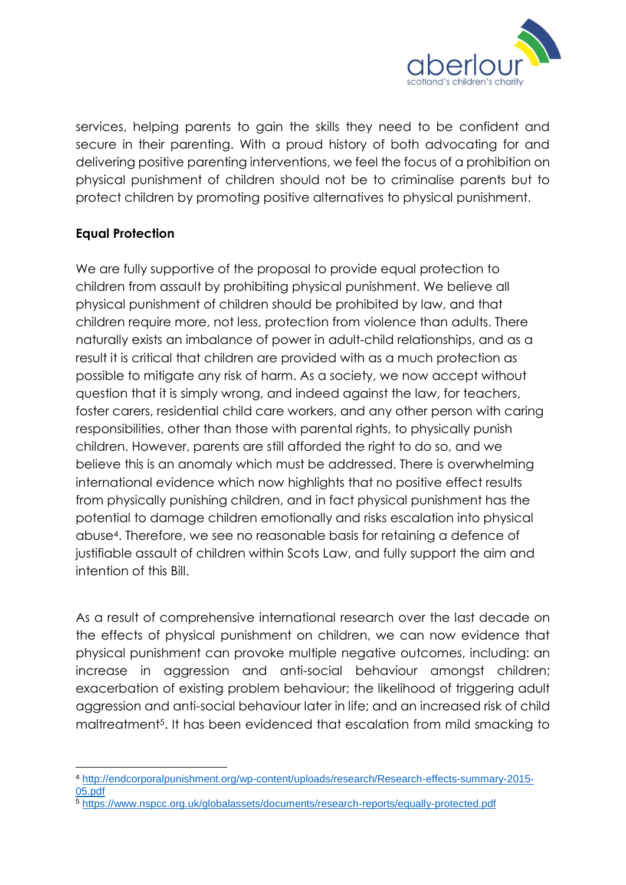

services, helping parents to gain the skills they need to be confident and secure in their parenting. With a proud history of both advocating for and delivering positive parenting interventions, we feel the focus of a prohibition on physical punishment of children should not be to criminalise parents but to protect children by promoting positive alternatives to physical punishment.

# **Equal Protection**

We are fully supportive of the proposal to provide equal protection to children from assault by prohibiting physical punishment. We believe all physical punishment of children should be prohibited by law, and that children require more, not less, protection from violence than adults. There naturally exists an imbalance of power in adult-child relationships, and as a result it is critical that children are provided with as a much protection as possible to mitigate any risk of harm. As a society, we now accept without question that it is simply wrong, and indeed against the law, for teachers, foster carers, residential child care workers, and any other person with caring responsibilities, other than those with parental rights, to physically punish children. However, parents are still afforded the right to do so, and we believe this is an anomaly which must be addressed. There is overwhelming international evidence which now highlights that no positive effect results from physically punishing children, and in fact physical punishment has the potential to damage children emotionally and risks escalation into physical abuse4. Therefore, we see no reasonable basis for retaining a defence of justifiable assault of children within Scots Law, and fully support the aim and intention of this Bill.

As a result of comprehensive international research over the last decade on the effects of physical punishment on children, we can now evidence that physical punishment can provoke multiple negative outcomes, including: an increase in aggression and anti-social behaviour amongst children; exacerbation of existing problem behaviour; the likelihood of triggering adult aggression and anti-social behaviour later in life; and an increased risk of child maltreatment5. It has been evidenced that escalation from mild smacking to

<sup>1</sup> <sup>4</sup> [http://endcorporalpunishment.org/wp-content/uploads/research/Research-effects-summary-2015-](http://endcorporalpunishment.org/wp-content/uploads/research/Research-effects-summary-2015-05.pdf) [05.pdf](http://endcorporalpunishment.org/wp-content/uploads/research/Research-effects-summary-2015-05.pdf)

<sup>5</sup> <https://www.nspcc.org.uk/globalassets/documents/research-reports/equally-protected.pdf>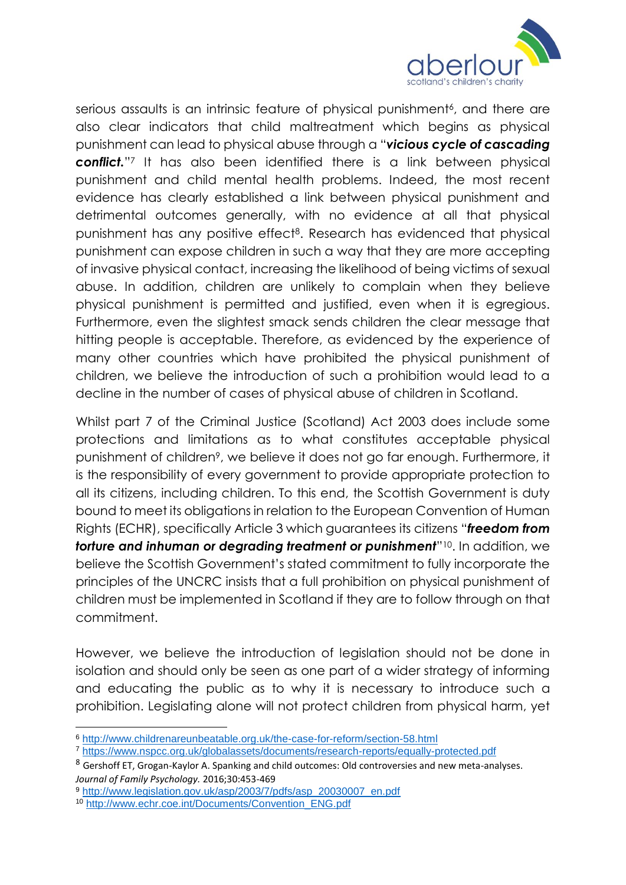

serious assaults is an intrinsic feature of physical punishment<sup>6</sup>, and there are also clear indicators that child maltreatment which begins as physical punishment can lead to physical abuse through a "*vicious cycle of cascading conflict.*" <sup>7</sup> It has also been identified there is a link between physical punishment and child mental health problems. Indeed, the most recent evidence has clearly established a link between physical punishment and detrimental outcomes generally, with no evidence at all that physical punishment has any positive effect8. Research has evidenced that physical punishment can expose children in such a way that they are more accepting of invasive physical contact, increasing the likelihood of being victims of sexual abuse. In addition, children are unlikely to complain when they believe physical punishment is permitted and justified, even when it is egregious. Furthermore, even the slightest smack sends children the clear message that hitting people is acceptable. Therefore, as evidenced by the experience of many other countries which have prohibited the physical punishment of children, we believe the introduction of such a prohibition would lead to a decline in the number of cases of physical abuse of children in Scotland.

Whilst part 7 of the Criminal Justice (Scotland) Act 2003 does include some protections and limitations as to what constitutes acceptable physical punishment of children<sup>9</sup>, we believe it does not go far enough. Furthermore, it is the responsibility of every government to provide appropriate protection to all its citizens, including children. To this end, the Scottish Government is duty bound to meet its obligations in relation to the European Convention of Human Rights (ECHR), specifically Article 3 which guarantees its citizens "*freedom from torture and inhuman or degrading treatment or punishment*" <sup>10</sup>. In addition, we believe the Scottish Government's stated commitment to fully incorporate the principles of the UNCRC insists that a full prohibition on physical punishment of children must be implemented in Scotland if they are to follow through on that commitment.

However, we believe the introduction of legislation should not be done in isolation and should only be seen as one part of a wider strategy of informing and educating the public as to why it is necessary to introduce such a prohibition. Legislating alone will not protect children from physical harm, yet

1

<sup>6</sup> <http://www.childrenareunbeatable.org.uk/the-case-for-reform/section-58.html>

<sup>7</sup> <https://www.nspcc.org.uk/globalassets/documents/research-reports/equally-protected.pdf>

<sup>8</sup> Gershoff ET, Grogan-Kaylor A. Spanking and child outcomes: Old controversies and new meta-analyses. *Journal of Family Psychology.* 2016;30:453-469

<sup>9</sup> [http://www.legislation.gov.uk/asp/2003/7/pdfs/asp\\_20030007\\_en.pdf](http://www.legislation.gov.uk/asp/2003/7/pdfs/asp_20030007_en.pdf) 

<sup>10</sup> [http://www.echr.coe.int/Documents/Convention\\_ENG.pdf](http://www.echr.coe.int/Documents/Convention_ENG.pdf)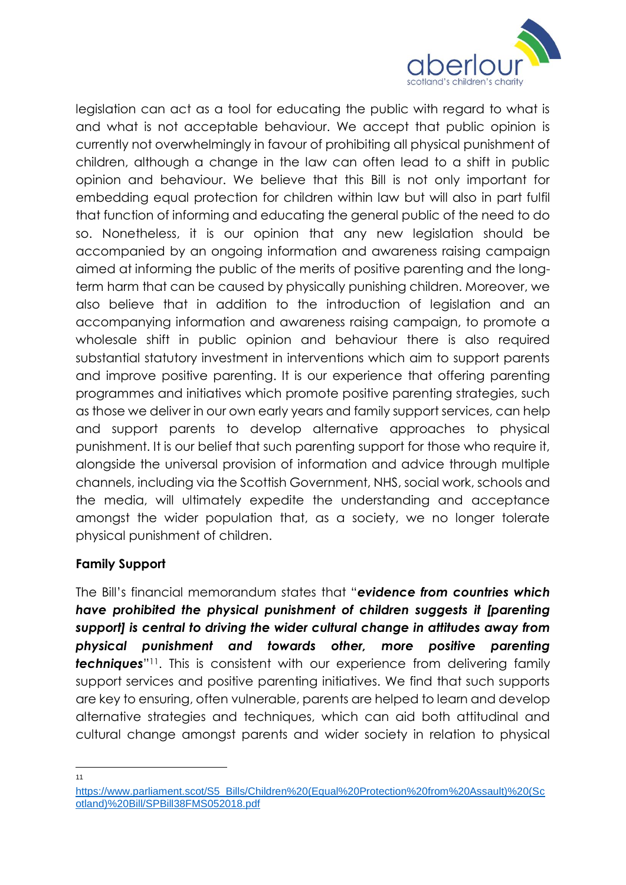

legislation can act as a tool for educating the public with regard to what is and what is not acceptable behaviour. We accept that public opinion is currently not overwhelmingly in favour of prohibiting all physical punishment of children, although a change in the law can often lead to a shift in public opinion and behaviour. We believe that this Bill is not only important for embedding equal protection for children within law but will also in part fulfil that function of informing and educating the general public of the need to do so. Nonetheless, it is our opinion that any new legislation should be accompanied by an ongoing information and awareness raising campaign aimed at informing the public of the merits of positive parenting and the longterm harm that can be caused by physically punishing children. Moreover, we also believe that in addition to the introduction of legislation and an accompanying information and awareness raising campaign, to promote a wholesale shift in public opinion and behaviour there is also required substantial statutory investment in interventions which aim to support parents and improve positive parenting. It is our experience that offering parenting programmes and initiatives which promote positive parenting strategies, such as those we deliver in our own early years and family support services, can help and support parents to develop alternative approaches to physical punishment. It is our belief that such parenting support for those who require it, alongside the universal provision of information and advice through multiple channels, including via the Scottish Government, NHS, social work, schools and the media, will ultimately expedite the understanding and acceptance amongst the wider population that, as a society, we no longer tolerate physical punishment of children.

# **Family Support**

The Bill's financial memorandum states that "*evidence from countries which have prohibited the physical punishment of children suggests it [parenting support] is central to driving the wider cultural change in attitudes away from physical punishment and towards other, more positive parenting*  **techniques**"<sup>11</sup>. This is consistent with our experience from delivering family support services and positive parenting initiatives. We find that such supports are key to ensuring, often vulnerable, parents are helped to learn and develop alternative strategies and techniques, which can aid both attitudinal and cultural change amongst parents and wider society in relation to physical

 $\frac{1}{11}$ 

[https://www.parliament.scot/S5\\_Bills/Children%20\(Equal%20Protection%20from%20Assault\)%20\(Sc](https://www.parliament.scot/S5_Bills/Children%20(Equal%20Protection%20from%20Assault)%20(Scotland)%20Bill/SPBill38FMS052018.pdf) [otland\)%20Bill/SPBill38FMS052018.pdf](https://www.parliament.scot/S5_Bills/Children%20(Equal%20Protection%20from%20Assault)%20(Scotland)%20Bill/SPBill38FMS052018.pdf)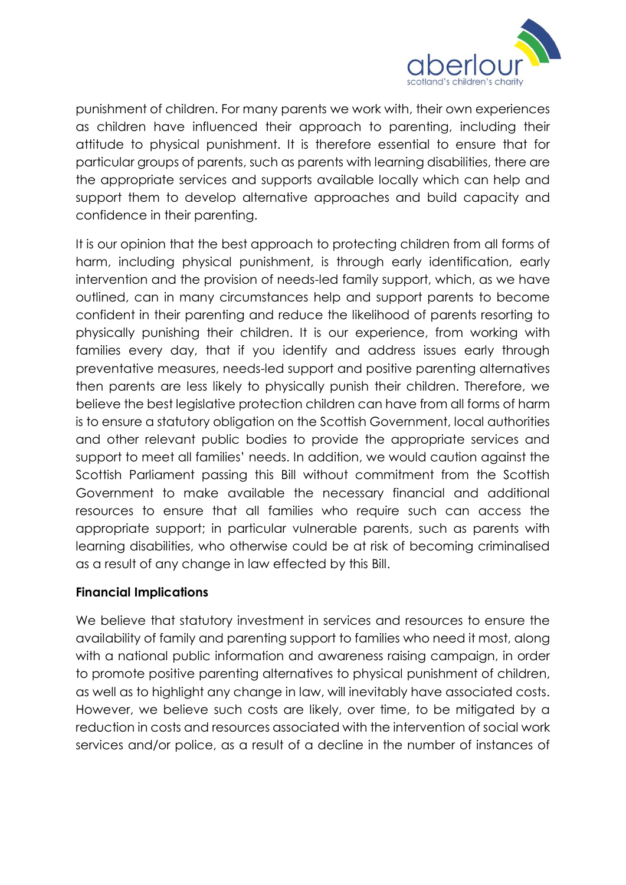

punishment of children. For many parents we work with, their own experiences as children have influenced their approach to parenting, including their attitude to physical punishment. It is therefore essential to ensure that for particular groups of parents, such as parents with learning disabilities, there are the appropriate services and supports available locally which can help and support them to develop alternative approaches and build capacity and confidence in their parenting.

It is our opinion that the best approach to protecting children from all forms of harm, including physical punishment, is through early identification, early intervention and the provision of needs-led family support, which, as we have outlined, can in many circumstances help and support parents to become confident in their parenting and reduce the likelihood of parents resorting to physically punishing their children. It is our experience, from working with families every day, that if you identify and address issues early through preventative measures, needs-led support and positive parenting alternatives then parents are less likely to physically punish their children. Therefore, we believe the best legislative protection children can have from all forms of harm is to ensure a statutory obligation on the Scottish Government, local authorities and other relevant public bodies to provide the appropriate services and support to meet all families' needs. In addition, we would caution against the Scottish Parliament passing this Bill without commitment from the Scottish Government to make available the necessary financial and additional resources to ensure that all families who require such can access the appropriate support; in particular vulnerable parents, such as parents with learning disabilities, who otherwise could be at risk of becoming criminalised as a result of any change in law effected by this Bill.

# **Financial Implications**

We believe that statutory investment in services and resources to ensure the availability of family and parenting support to families who need it most, along with a national public information and awareness raising campaign, in order to promote positive parenting alternatives to physical punishment of children, as well as to highlight any change in law, will inevitably have associated costs. However, we believe such costs are likely, over time, to be mitigated by a reduction in costs and resources associated with the intervention of social work services and/or police, as a result of a decline in the number of instances of